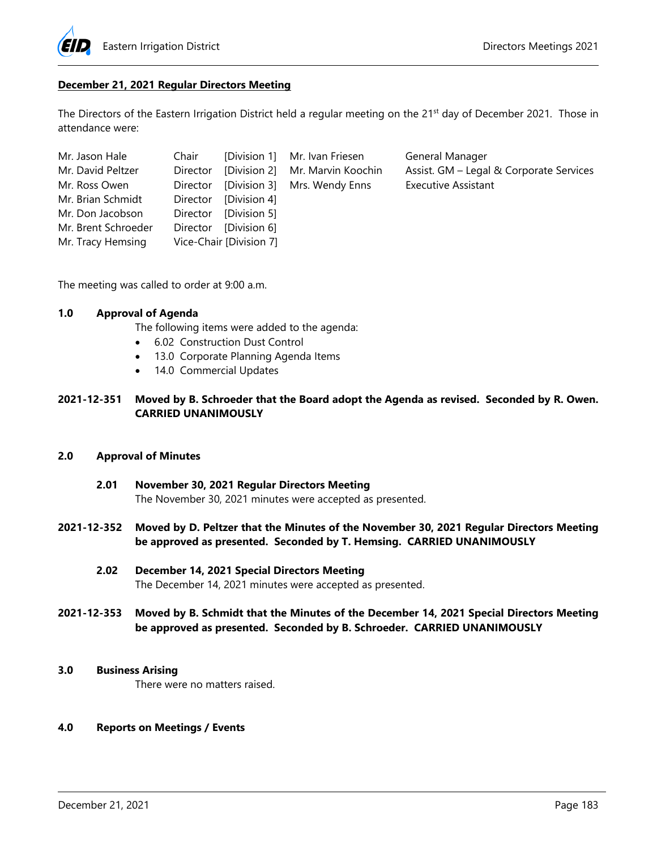

# **December 21, 2021 Regular Directors Meeting**

The Directors of the Eastern Irrigation District held a regular meeting on the 21<sup>st</sup> day of December 2021. Those in attendance were:

| Mr. Jason Hale      |                         | Chair [Division 1] Mr. Ivan Friesen      |
|---------------------|-------------------------|------------------------------------------|
| Mr. David Peltzer   |                         | Director [Division 2] Mr. Marvin Koochin |
| Mr. Ross Owen       |                         | Director [Division 3] Mrs. Wendy Enns    |
| Mr. Brian Schmidt   | Director [Division 4]   |                                          |
| Mr. Don Jacobson    | Director [Division 5]   |                                          |
| Mr. Brent Schroeder | Director [Division 6]   |                                          |
| Mr. Tracy Hemsing   | Vice-Chair [Division 7] |                                          |

General Manager Assist. GM – Legal & Corporate Services Executive Assistant

The meeting was called to order at 9:00 a.m.

# **1.0 Approval of Agenda**

The following items were added to the agenda:

- 6.02 Construction Dust Control
- 13.0 Corporate Planning Agenda Items
- 14.0 Commercial Updates

**2021-12-351 Moved by B. Schroeder that the Board adopt the Agenda as revised. Seconded by R. Owen. CARRIED UNANIMOUSLY** 

# **2.0 Approval of Minutes**

- **2.01 November 30, 2021 Regular Directors Meeting**  The November 30, 2021 minutes were accepted as presented.
- **2021-12-352 Moved by D. Peltzer that the Minutes of the November 30, 2021 Regular Directors Meeting be approved as presented. Seconded by T. Hemsing. CARRIED UNANIMOUSLY** 
	- **2.02 December 14, 2021 Special Directors Meeting**

The December 14, 2021 minutes were accepted as presented.

**2021-12-353 Moved by B. Schmidt that the Minutes of the December 14, 2021 Special Directors Meeting be approved as presented. Seconded by B. Schroeder. CARRIED UNANIMOUSLY** 

#### **3.0 Business Arising**

There were no matters raised.

# **4.0 Reports on Meetings / Events**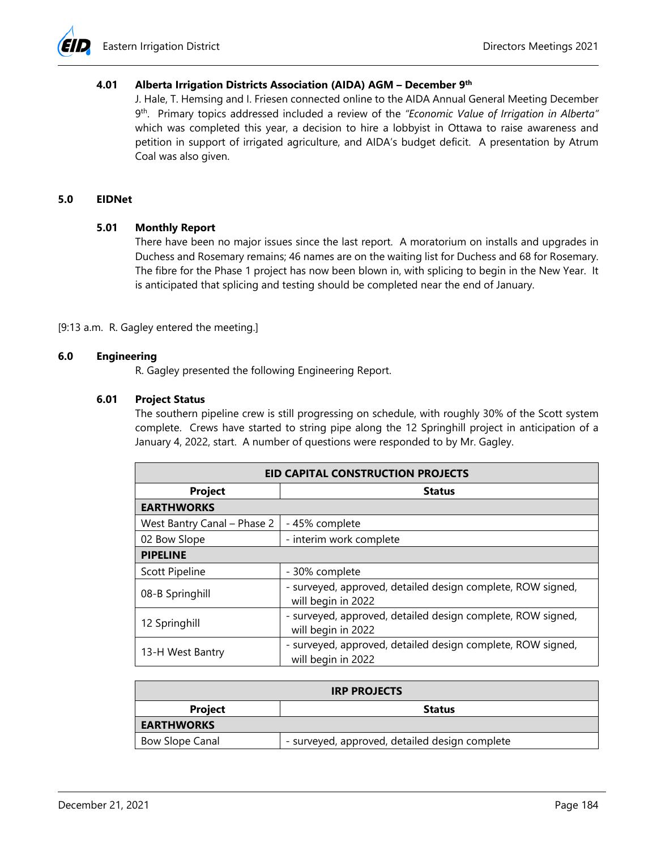

# **4.01 Alberta Irrigation Districts Association (AIDA) AGM – December 9th**

J. Hale, T. Hemsing and I. Friesen connected online to the AIDA Annual General Meeting December 9th. Primary topics addressed included a review of the *"Economic Value of Irrigation in Alberta"* which was completed this year, a decision to hire a lobbyist in Ottawa to raise awareness and petition in support of irrigated agriculture, and AIDA's budget deficit. A presentation by Atrum Coal was also given.

#### **5.0 EIDNet**

### **5.01 Monthly Report**

There have been no major issues since the last report. A moratorium on installs and upgrades in Duchess and Rosemary remains; 46 names are on the waiting list for Duchess and 68 for Rosemary. The fibre for the Phase 1 project has now been blown in, with splicing to begin in the New Year. It is anticipated that splicing and testing should be completed near the end of January.

#### [9:13 a.m. R. Gagley entered the meeting.]

# **6.0 Engineering**

R. Gagley presented the following Engineering Report.

### **6.01 Project Status**

The southern pipeline crew is still progressing on schedule, with roughly 30% of the Scott system complete. Crews have started to string pipe along the 12 Springhill project in anticipation of a January 4, 2022, start. A number of questions were responded to by Mr. Gagley.

| <b>EID CAPITAL CONSTRUCTION PROJECTS</b> |                                                                                   |  |  |
|------------------------------------------|-----------------------------------------------------------------------------------|--|--|
| Project                                  | <b>Status</b>                                                                     |  |  |
| <b>EARTHWORKS</b>                        |                                                                                   |  |  |
| West Bantry Canal - Phase 2              | - 45% complete                                                                    |  |  |
| 02 Bow Slope                             | - interim work complete                                                           |  |  |
| <b>PIPELINE</b>                          |                                                                                   |  |  |
| Scott Pipeline                           | - 30% complete                                                                    |  |  |
| 08-B Springhill                          | - surveyed, approved, detailed design complete, ROW signed,<br>will begin in 2022 |  |  |
| 12 Springhill                            | - surveyed, approved, detailed design complete, ROW signed,<br>will begin in 2022 |  |  |
| 13-H West Bantry                         | - surveyed, approved, detailed design complete, ROW signed,<br>will begin in 2022 |  |  |

| <b>IRP PROJECTS</b> |                                                |  |  |
|---------------------|------------------------------------------------|--|--|
| <b>Project</b>      | <b>Status</b>                                  |  |  |
| <b>EARTHWORKS</b>   |                                                |  |  |
| Bow Slope Canal     | - surveyed, approved, detailed design complete |  |  |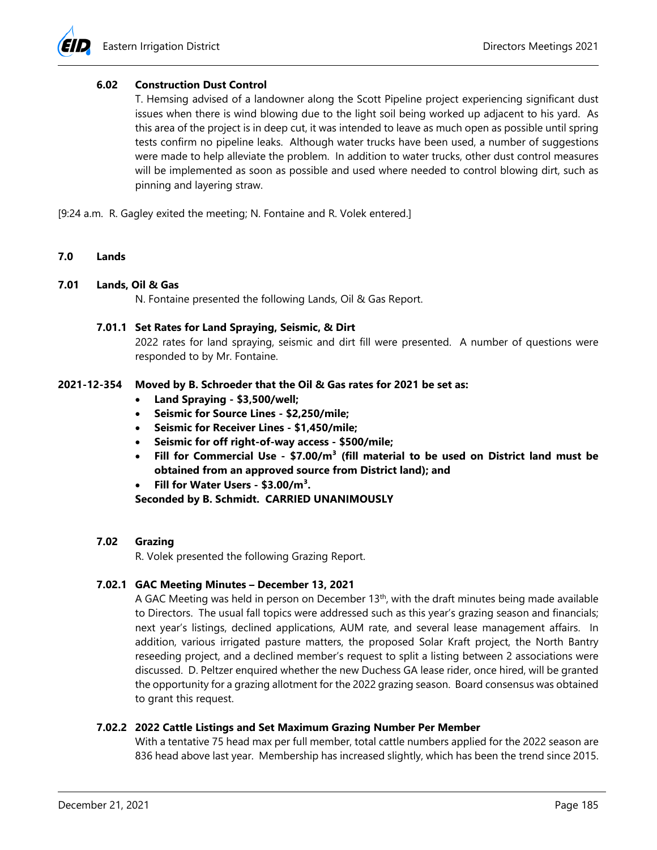# **6.02 Construction Dust Control**

T. Hemsing advised of a landowner along the Scott Pipeline project experiencing significant dust issues when there is wind blowing due to the light soil being worked up adjacent to his yard. As this area of the project is in deep cut, it was intended to leave as much open as possible until spring tests confirm no pipeline leaks. Although water trucks have been used, a number of suggestions were made to help alleviate the problem. In addition to water trucks, other dust control measures will be implemented as soon as possible and used where needed to control blowing dirt, such as pinning and layering straw.

[9:24 a.m. R. Gagley exited the meeting; N. Fontaine and R. Volek entered.]

**7.0 Lands** 

### **7.01 Lands, Oil & Gas**

N. Fontaine presented the following Lands, Oil & Gas Report.

### **7.01.1 Set Rates for Land Spraying, Seismic, & Dirt**

2022 rates for land spraying, seismic and dirt fill were presented. A number of questions were responded to by Mr. Fontaine.

### **2021-12-354 Moved by B. Schroeder that the Oil & Gas rates for 2021 be set as:**

- **Land Spraying \$3,500/well;**
- **Seismic for Source Lines \$2,250/mile;**
- **Seismic for Receiver Lines \$1,450/mile;**
- **Seismic for off right-of-way access \$500/mile;**
- Fill for Commercial Use \$7.00/m<sup>3</sup> (fill material to be used on District land must be **obtained from an approved source from District land); and**
- **Fill for Water Users \$3.00/m³.**

**Seconded by B. Schmidt. CARRIED UNANIMOUSLY** 

# **7.02 Grazing**

R. Volek presented the following Grazing Report.

# **7.02.1 GAC Meeting Minutes – December 13, 2021**

A GAC Meeting was held in person on December 13th, with the draft minutes being made available to Directors. The usual fall topics were addressed such as this year's grazing season and financials; next year's listings, declined applications, AUM rate, and several lease management affairs. In addition, various irrigated pasture matters, the proposed Solar Kraft project, the North Bantry reseeding project, and a declined member's request to split a listing between 2 associations were discussed. D. Peltzer enquired whether the new Duchess GA lease rider, once hired, will be granted the opportunity for a grazing allotment for the 2022 grazing season. Board consensus was obtained to grant this request.

#### **7.02.2 2022 Cattle Listings and Set Maximum Grazing Number Per Member**

With a tentative 75 head max per full member, total cattle numbers applied for the 2022 season are 836 head above last year. Membership has increased slightly, which has been the trend since 2015.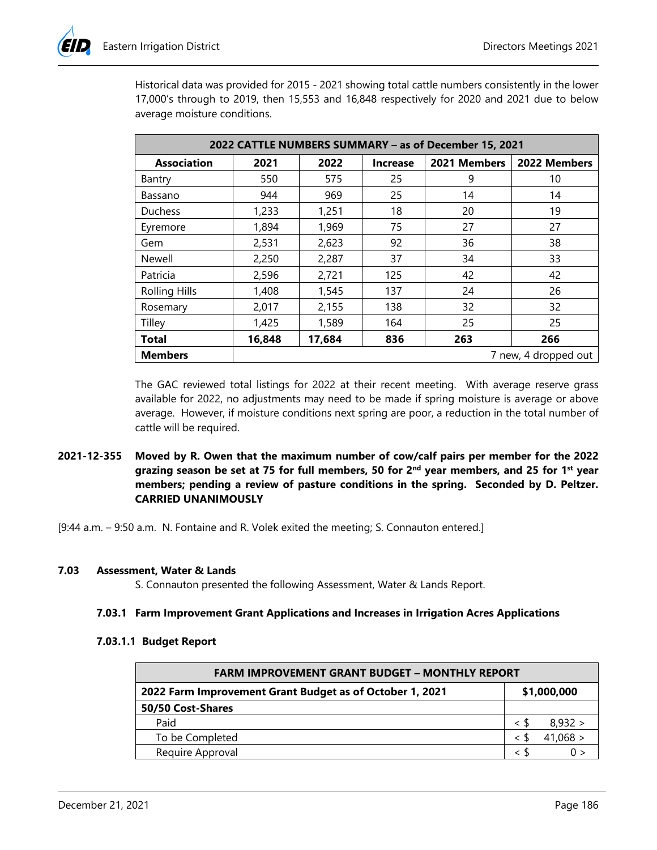Historical data was provided for 2015 - 2021 showing total cattle numbers consistently in the lower 17,000's through to 2019, then 15,553 and 16,848 respectively for 2020 and 2021 due to below average moisture conditions.

| 2022 CATTLE NUMBERS SUMMARY - as of December 15, 2021 |        |        |                 |              |              |
|-------------------------------------------------------|--------|--------|-----------------|--------------|--------------|
| <b>Association</b>                                    | 2021   | 2022   | <b>Increase</b> | 2021 Members | 2022 Members |
| Bantry                                                | 550    | 575    | 25              | 9            | 10           |
| Bassano                                               | 944    | 969    | 25              | 14           | 14           |
| <b>Duchess</b>                                        | 1,233  | 1,251  | 18              | 20           | 19           |
| Eyremore                                              | 1,894  | 1,969  | 75              | 27           | 27           |
| Gem                                                   | 2,531  | 2,623  | 92              | 36           | 38           |
| Newell                                                | 2,250  | 2,287  | 37              | 34           | 33           |
| Patricia                                              | 2,596  | 2,721  | 125             | 42           | 42           |
| <b>Rolling Hills</b>                                  | 1,408  | 1,545  | 137             | 24           | 26           |
| Rosemary                                              | 2,017  | 2,155  | 138             | 32           | 32           |
| Tilley                                                | 1,425  | 1,589  | 164             | 25           | 25           |
| <b>Total</b>                                          | 16,848 | 17,684 | 836             | 263          | 266          |
| <b>Members</b><br>7 new, 4 dropped out                |        |        |                 |              |              |

The GAC reviewed total listings for 2022 at their recent meeting. With average reserve grass available for 2022, no adjustments may need to be made if spring moisture is average or above average. However, if moisture conditions next spring are poor, a reduction in the total number of cattle will be required.

**2021-12-355 Moved by R. Owen that the maximum number of cow/calf pairs per member for the 2022**  grazing season be set at 75 for full members, 50 for 2<sup>nd</sup> year members, and 25 for 1<sup>st</sup> year **members; pending a review of pasture conditions in the spring. Seconded by D. Peltzer. CARRIED UNANIMOUSLY** 

[9:44 a.m. – 9:50 a.m. N. Fontaine and R. Volek exited the meeting; S. Connauton entered.]

#### **7.03 Assessment, Water & Lands**

S. Connauton presented the following Assessment, Water & Lands Report.

#### **7.03.1 Farm Improvement Grant Applications and Increases in Irrigation Acres Applications**

#### **7.03.1.1 Budget Report**

| <b>FARM IMPROVEMENT GRANT BUDGET - MONTHLY REPORT</b>    |             |  |  |
|----------------------------------------------------------|-------------|--|--|
| 2022 Farm Improvement Grant Budget as of October 1, 2021 | \$1,000,000 |  |  |
| 50/50 Cost-Shares                                        |             |  |  |
| Paid                                                     | 8,932 >     |  |  |
| To be Completed                                          | 41,068 >    |  |  |
| Require Approval                                         |             |  |  |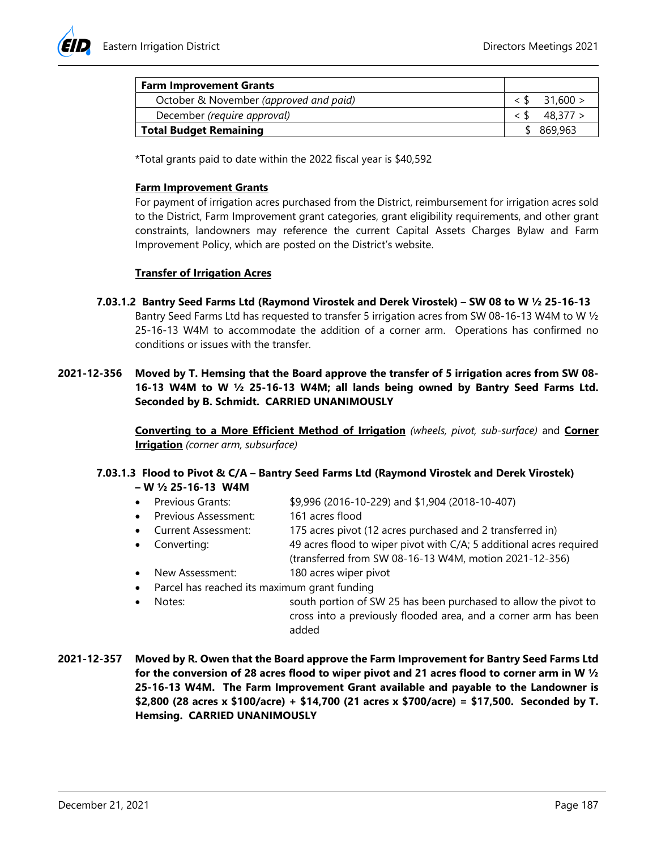

| <b>Farm Improvement Grants</b>         |            |
|----------------------------------------|------------|
| October & November (approved and paid) | - 31.600 > |
| December (require approval)            | 48.377 >   |
| Total Budget Remaining                 | 869,963    |

\*Total grants paid to date within the 2022 fiscal year is \$40,592

# **Farm Improvement Grants**

For payment of irrigation acres purchased from the District, reimbursement for irrigation acres sold to the District, Farm Improvement grant categories, grant eligibility requirements, and other grant constraints, landowners may reference the current Capital Assets Charges Bylaw and Farm Improvement Policy, which are posted on the District's website.

# **Transfer of Irrigation Acres**

- **7.03.1.2 Bantry Seed Farms Ltd (Raymond Virostek and Derek Virostek) SW 08 to W ½ 25-16-13**  Bantry Seed Farms Ltd has requested to transfer 5 irrigation acres from SW 08-16-13 W4M to W ½ 25-16-13 W4M to accommodate the addition of a corner arm. Operations has confirmed no conditions or issues with the transfer.
- **2021-12-356 Moved by T. Hemsing that the Board approve the transfer of 5 irrigation acres from SW 08- 16-13 W4M to W ½ 25-16-13 W4M; all lands being owned by Bantry Seed Farms Ltd. Seconded by B. Schmidt. CARRIED UNANIMOUSLY**

**Converting to a More Efficient Method of Irrigation** *(wheels, pivot, sub-surface)* and **Corner Irrigation** *(corner arm, subsurface)* 

### **7.03.1.3 Flood to Pivot & C/A – Bantry Seed Farms Ltd (Raymond Virostek and Derek Virostek) – W ½ 25-16-13 W4M**

- Previous Grants: \$9,996 (2016-10-229) and \$1,904 (2018-10-407)
- Previous Assessment: 161 acres flood
- Current Assessment: 175 acres pivot (12 acres purchased and 2 transferred in)
- Converting: 49 acres flood to wiper pivot with C/A; 5 additional acres required (transferred from SW 08-16-13 W4M, motion 2021-12-356)
- New Assessment: 180 acres wiper pivot
- Parcel has reached its maximum grant funding
- Notes: south portion of SW 25 has been purchased to allow the pivot to cross into a previously flooded area, and a corner arm has been added
- **2021-12-357 Moved by R. Owen that the Board approve the Farm Improvement for Bantry Seed Farms Ltd for the conversion of 28 acres flood to wiper pivot and 21 acres flood to corner arm in W ½ 25-16-13 W4M. The Farm Improvement Grant available and payable to the Landowner is \$2,800 (28 acres x \$100/acre) + \$14,700 (21 acres x \$700/acre) = \$17,500. Seconded by T. Hemsing. CARRIED UNANIMOUSLY**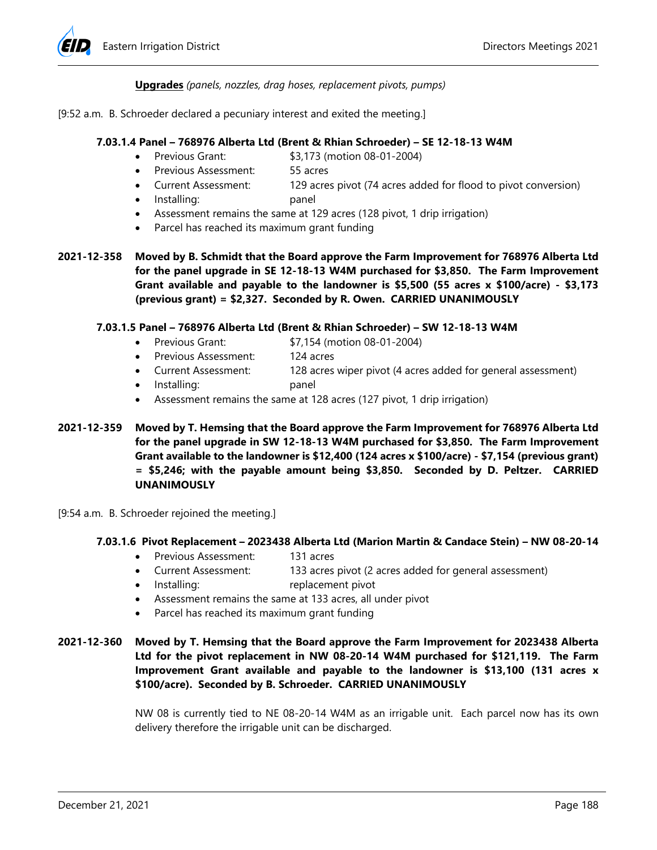

# **Upgrades** *(panels, nozzles, drag hoses, replacement pivots, pumps)*

### [9:52 a.m. B. Schroeder declared a pecuniary interest and exited the meeting.]

### **7.03.1.4 Panel – 768976 Alberta Ltd (Brent & Rhian Schroeder) – SE 12-18-13 W4M**

- Previous Grant: \$3,173 (motion 08-01-2004)
- Previous Assessment: 55 acres
- Current Assessment: 129 acres pivot (74 acres added for flood to pivot conversion)
- Installing: panel
- Assessment remains the same at 129 acres (128 pivot, 1 drip irrigation)
- Parcel has reached its maximum grant funding
- **2021-12-358 Moved by B. Schmidt that the Board approve the Farm Improvement for 768976 Alberta Ltd for the panel upgrade in SE 12-18-13 W4M purchased for \$3,850. The Farm Improvement Grant available and payable to the landowner is \$5,500 (55 acres x \$100/acre) - \$3,173 (previous grant) = \$2,327. Seconded by R. Owen. CARRIED UNANIMOUSLY**

### **7.03.1.5 Panel – 768976 Alberta Ltd (Brent & Rhian Schroeder) – SW 12-18-13 W4M**

- Previous Grant: \$7,154 (motion 08-01-2004)
- Previous Assessment: 124 acres
- Current Assessment: 128 acres wiper pivot (4 acres added for general assessment)
- Installing: panel
- Assessment remains the same at 128 acres (127 pivot, 1 drip irrigation)
- **2021-12-359 Moved by T. Hemsing that the Board approve the Farm Improvement for 768976 Alberta Ltd for the panel upgrade in SW 12-18-13 W4M purchased for \$3,850. The Farm Improvement Grant available to the landowner is \$12,400 (124 acres x \$100/acre) - \$7,154 (previous grant) = \$5,246; with the payable amount being \$3,850. Seconded by D. Peltzer. CARRIED UNANIMOUSLY**
- [9:54 a.m. B. Schroeder rejoined the meeting.]

#### **7.03.1.6 Pivot Replacement – 2023438 Alberta Ltd (Marion Martin & Candace Stein) – NW 08-20-14**

- Previous Assessment: 131 acres
- Current Assessment: 133 acres pivot (2 acres added for general assessment)
- Installing: replacement pivot
- Assessment remains the same at 133 acres, all under pivot
- Parcel has reached its maximum grant funding

# **2021-12-360 Moved by T. Hemsing that the Board approve the Farm Improvement for 2023438 Alberta Ltd for the pivot replacement in NW 08-20-14 W4M purchased for \$121,119. The Farm Improvement Grant available and payable to the landowner is \$13,100 (131 acres x \$100/acre). Seconded by B. Schroeder. CARRIED UNANIMOUSLY**

NW 08 is currently tied to NE 08-20-14 W4M as an irrigable unit. Each parcel now has its own delivery therefore the irrigable unit can be discharged.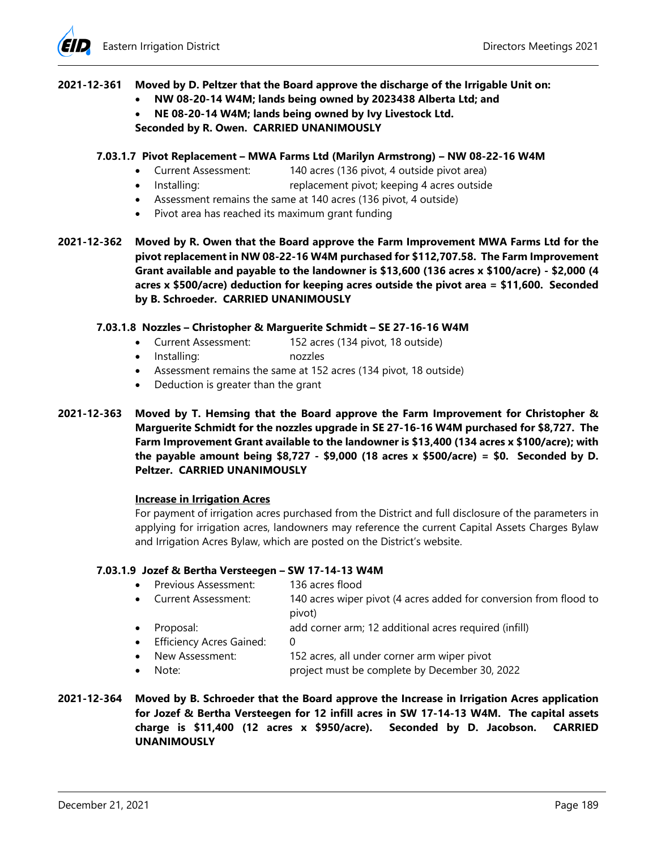# **2021-12-361 Moved by D. Peltzer that the Board approve the discharge of the Irrigable Unit on:**

- **NW 08-20-14 W4M; lands being owned by 2023438 Alberta Ltd; and**
- **NE 08-20-14 W4M; lands being owned by Ivy Livestock Ltd. Seconded by R. Owen. CARRIED UNANIMOUSLY**

# **7.03.1.7 Pivot Replacement – MWA Farms Ltd (Marilyn Armstrong) – NW 08-22-16 W4M**

- Current Assessment: 140 acres (136 pivot, 4 outside pivot area)
- Installing: replacement pivot; keeping 4 acres outside
- Assessment remains the same at 140 acres (136 pivot, 4 outside)
- Pivot area has reached its maximum grant funding

**2021-12-362 Moved by R. Owen that the Board approve the Farm Improvement MWA Farms Ltd for the pivot replacement in NW 08-22-16 W4M purchased for \$112,707.58. The Farm Improvement Grant available and payable to the landowner is \$13,600 (136 acres x \$100/acre) - \$2,000 (4 acres x \$500/acre) deduction for keeping acres outside the pivot area = \$11,600. Seconded by B. Schroeder. CARRIED UNANIMOUSLY** 

# **7.03.1.8 Nozzles – Christopher & Marguerite Schmidt – SE 27-16-16 W4M**

- Current Assessment: 152 acres (134 pivot, 18 outside)
- Installing: nozzles
- Assessment remains the same at 152 acres (134 pivot, 18 outside)
- Deduction is greater than the grant
- **2021-12-363 Moved by T. Hemsing that the Board approve the Farm Improvement for Christopher & Marguerite Schmidt for the nozzles upgrade in SE 27-16-16 W4M purchased for \$8,727. The Farm Improvement Grant available to the landowner is \$13,400 (134 acres x \$100/acre); with the payable amount being \$8,727 - \$9,000 (18 acres x \$500/acre) = \$0. Seconded by D. Peltzer. CARRIED UNANIMOUSLY**

#### **Increase in Irrigation Acres**

For payment of irrigation acres purchased from the District and full disclosure of the parameters in applying for irrigation acres, landowners may reference the current Capital Assets Charges Bylaw and Irrigation Acres Bylaw, which are posted on the District's website.

#### **7.03.1.9 Jozef & Bertha Versteegen – SW 17-14-13 W4M**

- Previous Assessment: 136 acres flood
- Current Assessment: 140 acres wiper pivot (4 acres added for conversion from flood to pivot)
- Proposal: add corner arm; 12 additional acres required (infill)
- Efficiency Acres Gained: 0
- New Assessment: 152 acres, all under corner arm wiper pivot
- Note: project must be complete by December 30, 2022
- **2021-12-364 Moved by B. Schroeder that the Board approve the Increase in Irrigation Acres application for Jozef & Bertha Versteegen for 12 infill acres in SW 17-14-13 W4M. The capital assets charge is \$11,400 (12 acres x \$950/acre). Seconded by D. Jacobson. CARRIED UNANIMOUSLY**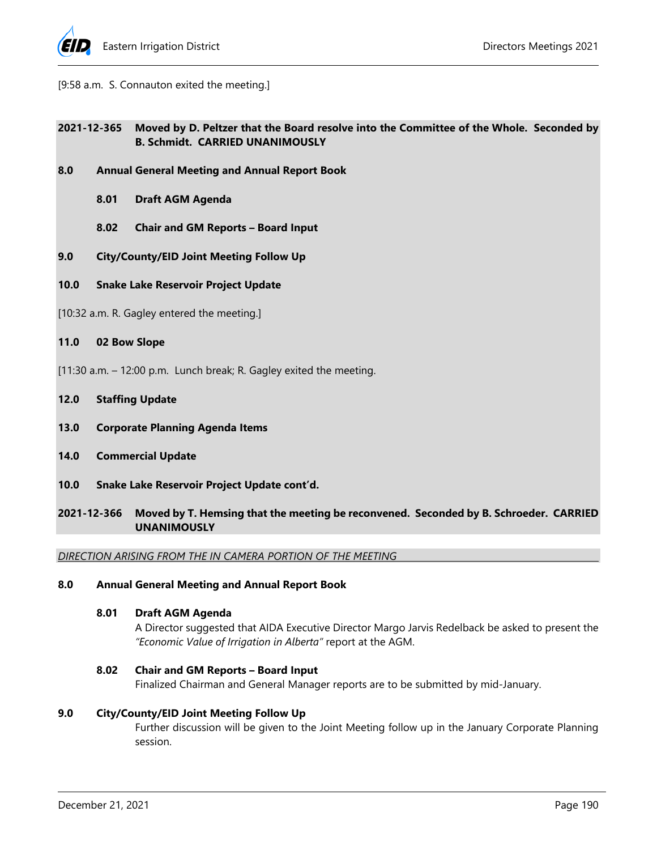

[9:58 a.m. S. Connauton exited the meeting.]

# **2021-12-365 Moved by D. Peltzer that the Board resolve into the Committee of the Whole. Seconded by B. Schmidt. CARRIED UNANIMOUSLY**

- **8.0 Annual General Meeting and Annual Report Book** 
	- **8.01 Draft AGM Agenda**
	- **8.02 Chair and GM Reports Board Input**
- **9.0 City/County/EID Joint Meeting Follow Up**
- **10.0 Snake Lake Reservoir Project Update**
- [10:32 a.m. R. Gagley entered the meeting.]
- **11.0 02 Bow Slope**
- [11:30 a.m. 12:00 p.m. Lunch break; R. Gagley exited the meeting.
- **12.0 Staffing Update**
- **13.0 Corporate Planning Agenda Items**
- **14.0 Commercial Update**
- **10.0 Snake Lake Reservoir Project Update cont'd.**
- **2021-12-366 Moved by T. Hemsing that the meeting be reconvened. Seconded by B. Schroeder. CARRIED UNANIMOUSLY**

*DIRECTION ARISING FROM THE IN CAMERA PORTION OF THE MEETING* 

# **8.0 Annual General Meeting and Annual Report Book**

# **8.01 Draft AGM Agenda**

A Director suggested that AIDA Executive Director Margo Jarvis Redelback be asked to present the *"Economic Value of Irrigation in Alberta"* report at the AGM.

#### **8.02 Chair and GM Reports – Board Input**

Finalized Chairman and General Manager reports are to be submitted by mid-January.

#### **9.0 City/County/EID Joint Meeting Follow Up**

Further discussion will be given to the Joint Meeting follow up in the January Corporate Planning session.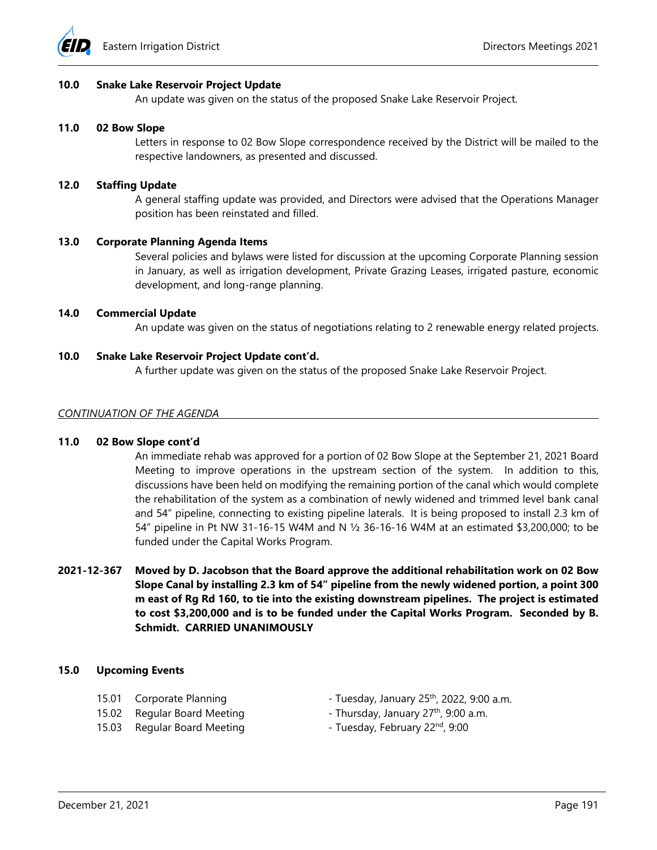

### **10.0 Snake Lake Reservoir Project Update**

An update was given on the status of the proposed Snake Lake Reservoir Project.

#### **11.0 02 Bow Slope**

Letters in response to 02 Bow Slope correspondence received by the District will be mailed to the respective landowners, as presented and discussed.

### **12.0 Staffing Update**

A general staffing update was provided, and Directors were advised that the Operations Manager position has been reinstated and filled.

### **13.0 Corporate Planning Agenda Items**

Several policies and bylaws were listed for discussion at the upcoming Corporate Planning session in January, as well as irrigation development, Private Grazing Leases, irrigated pasture, economic development, and long-range planning.

# **14.0 Commercial Update**

An update was given on the status of negotiations relating to 2 renewable energy related projects.

# **10.0 Snake Lake Reservoir Project Update cont'd.**

A further update was given on the status of the proposed Snake Lake Reservoir Project.

#### *CONTINUATION OF THE AGENDA*

#### **11.0 02 Bow Slope cont'd**

An immediate rehab was approved for a portion of 02 Bow Slope at the September 21, 2021 Board Meeting to improve operations in the upstream section of the system. In addition to this, discussions have been held on modifying the remaining portion of the canal which would complete the rehabilitation of the system as a combination of newly widened and trimmed level bank canal and 54" pipeline, connecting to existing pipeline laterals. It is being proposed to install 2.3 km of 54" pipeline in Pt NW 31-16-15 W4M and N ½ 36-16-16 W4M at an estimated \$3,200,000; to be funded under the Capital Works Program.

**2021-12-367 Moved by D. Jacobson that the Board approve the additional rehabilitation work on 02 Bow Slope Canal by installing 2.3 km of 54" pipeline from the newly widened portion, a point 300 m east of Rg Rd 160, to tie into the existing downstream pipelines. The project is estimated to cost \$3,200,000 and is to be funded under the Capital Works Program. Seconded by B. Schmidt. CARRIED UNANIMOUSLY** 

#### **15.0 Upcoming Events**

- 
- 
- 15.03 Regular Board Meeting Tuesday, February 22<sup>nd</sup>, 9:00
- 15.01 Corporate Planning Tuesday, January 25<sup>th</sup>, 2022, 9:00 a.m.
- 15.02 Regular Board Meeting Thursday, January 27<sup>th</sup>, 9:00 a.m.
	-